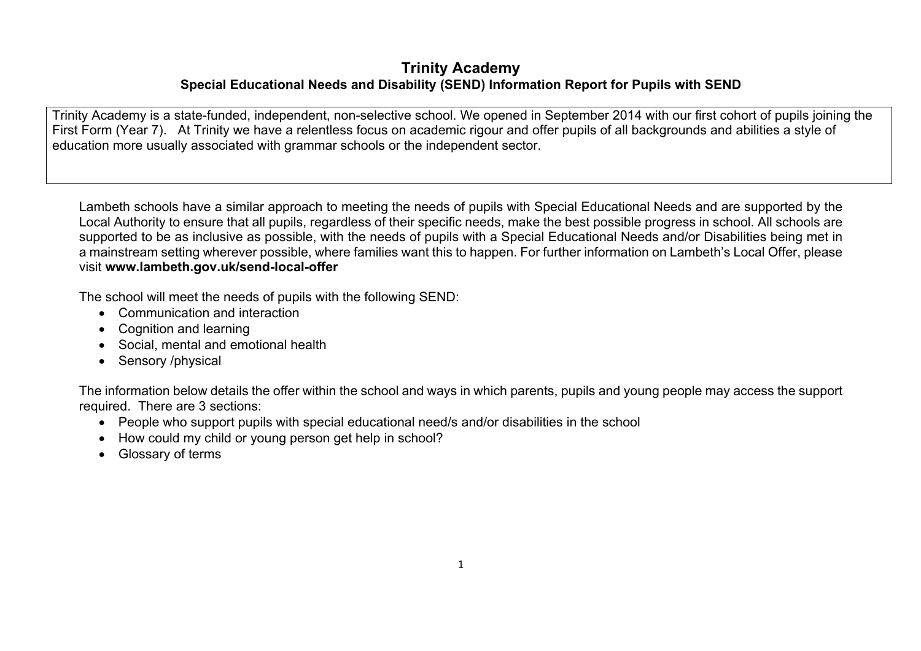## **Trinity Academy Special Educational Needs and Disability (SEND) Information Report for Pupils with SEND**

Trinity Academy is a state-funded, independent, non-selective school. We opened in September 2014 with our first cohort of pupils joining the First Form (Year 7). At Trinity we have a relentless focus on academic rigour and offer pupils of all backgrounds and abilities a style of education more usually associated with grammar schools or the independent sector.

Lambeth schools have a similar approach to meeting the needs of pupils with Special Educational Needs and are supported by the Local Authority to ensure that all pupils, regardless of their specific needs, make the best possible progress in school. All schools are supported to be as inclusive as possible, with the needs of pupils with a Special Educational Needs and/or Disabilities being met in a mainstream setting wherever possible, where families want this to happen. For further information on Lambeth's Local Offer, please visit **www.lambeth.gov.uk/send-local-offer**

The school will meet the needs of pupils with the following SEND:

- Communication and interaction
- Cognition and learning
- Social, mental and emotional health
- Sensory /physical

The information below details the offer within the school and ways in which parents, pupils and young people may access the support required. There are 3 sections:

- People who support pupils with special educational need/s and/or disabilities in the school
- How could my child or young person get help in school?
- Glossary of terms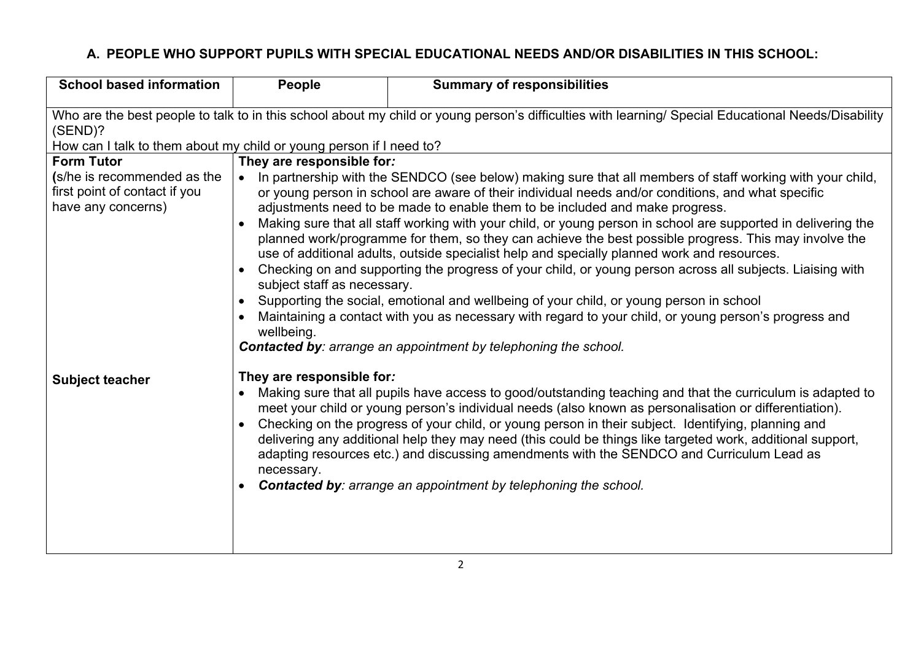## **A. PEOPLE WHO SUPPORT PUPILS WITH SPECIAL EDUCATIONAL NEEDS AND/OR DISABILITIES IN THIS SCHOOL:**

| <b>School based information</b>                                                                                                                                | People                                                                                                                                                                                                                                                                                                                                                                                                                                                                                                                                                                                                                                                      | <b>Summary of responsibilities</b> |  |
|----------------------------------------------------------------------------------------------------------------------------------------------------------------|-------------------------------------------------------------------------------------------------------------------------------------------------------------------------------------------------------------------------------------------------------------------------------------------------------------------------------------------------------------------------------------------------------------------------------------------------------------------------------------------------------------------------------------------------------------------------------------------------------------------------------------------------------------|------------------------------------|--|
| Who are the best people to talk to in this school about my child or young person's difficulties with learning/ Special Educational Needs/Disability<br>(SEND)? |                                                                                                                                                                                                                                                                                                                                                                                                                                                                                                                                                                                                                                                             |                                    |  |
| How can I talk to them about my child or young person if I need to?<br><b>Form Tutor</b>                                                                       |                                                                                                                                                                                                                                                                                                                                                                                                                                                                                                                                                                                                                                                             |                                    |  |
| (s/he is recommended as the<br>first point of contact if you<br>have any concerns)                                                                             | They are responsible for:<br>In partnership with the SENDCO (see below) making sure that all members of staff working with your child,<br>or young person in school are aware of their individual needs and/or conditions, and what specific<br>adjustments need to be made to enable them to be included and make progress.<br>Making sure that all staff working with your child, or young person in school are supported in delivering the<br>planned work/programme for them, so they can achieve the best possible progress. This may involve the<br>use of additional adults, outside specialist help and specially planned work and resources.       |                                    |  |
|                                                                                                                                                                | Checking on and supporting the progress of your child, or young person across all subjects. Liaising with<br>subject staff as necessary.<br>Supporting the social, emotional and wellbeing of your child, or young person in school<br>Maintaining a contact with you as necessary with regard to your child, or young person's progress and<br>wellbeing.<br><b>Contacted by:</b> arrange an appointment by telephoning the school.                                                                                                                                                                                                                        |                                    |  |
| <b>Subject teacher</b>                                                                                                                                         | They are responsible for:<br>Making sure that all pupils have access to good/outstanding teaching and that the curriculum is adapted to<br>meet your child or young person's individual needs (also known as personalisation or differentiation).<br>Checking on the progress of your child, or young person in their subject. Identifying, planning and<br>delivering any additional help they may need (this could be things like targeted work, additional support,<br>adapting resources etc.) and discussing amendments with the SENDCO and Curriculum Lead as<br>necessary.<br><b>Contacted by:</b> arrange an appointment by telephoning the school. |                                    |  |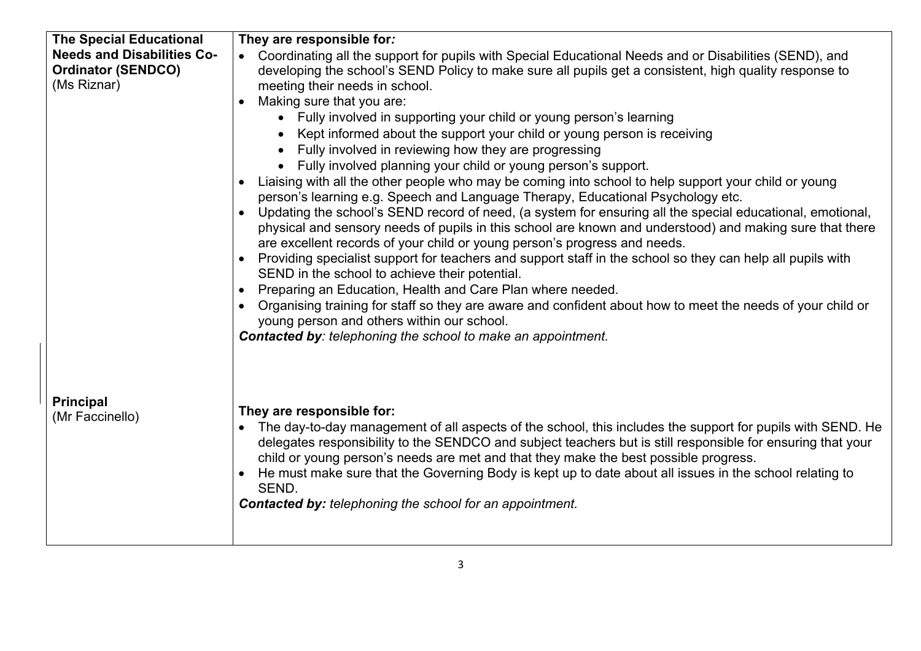| <b>The Special Educational</b>    | They are responsible for:                                                                                                                                                                                                                                                                                                                                                                                                                              |  |  |
|-----------------------------------|--------------------------------------------------------------------------------------------------------------------------------------------------------------------------------------------------------------------------------------------------------------------------------------------------------------------------------------------------------------------------------------------------------------------------------------------------------|--|--|
| <b>Needs and Disabilities Co-</b> | Coordinating all the support for pupils with Special Educational Needs and or Disabilities (SEND), and                                                                                                                                                                                                                                                                                                                                                 |  |  |
| <b>Ordinator (SENDCO)</b>         | developing the school's SEND Policy to make sure all pupils get a consistent, high quality response to                                                                                                                                                                                                                                                                                                                                                 |  |  |
| (Ms Riznar)                       | meeting their needs in school.                                                                                                                                                                                                                                                                                                                                                                                                                         |  |  |
|                                   | Making sure that you are:<br>$\bullet$                                                                                                                                                                                                                                                                                                                                                                                                                 |  |  |
|                                   | • Fully involved in supporting your child or young person's learning                                                                                                                                                                                                                                                                                                                                                                                   |  |  |
|                                   | Kept informed about the support your child or young person is receiving                                                                                                                                                                                                                                                                                                                                                                                |  |  |
|                                   | Fully involved in reviewing how they are progressing                                                                                                                                                                                                                                                                                                                                                                                                   |  |  |
|                                   | • Fully involved planning your child or young person's support.                                                                                                                                                                                                                                                                                                                                                                                        |  |  |
|                                   | Liaising with all the other people who may be coming into school to help support your child or young<br>person's learning e.g. Speech and Language Therapy, Educational Psychology etc.                                                                                                                                                                                                                                                                |  |  |
|                                   | Updating the school's SEND record of need, (a system for ensuring all the special educational, emotional,<br>physical and sensory needs of pupils in this school are known and understood) and making sure that there<br>are excellent records of your child or young person's progress and needs.                                                                                                                                                     |  |  |
|                                   | Providing specialist support for teachers and support staff in the school so they can help all pupils with<br>SEND in the school to achieve their potential.                                                                                                                                                                                                                                                                                           |  |  |
|                                   | Preparing an Education, Health and Care Plan where needed.<br>$\bullet$                                                                                                                                                                                                                                                                                                                                                                                |  |  |
|                                   | Organising training for staff so they are aware and confident about how to meet the needs of your child or<br>$\bullet$<br>young person and others within our school.                                                                                                                                                                                                                                                                                  |  |  |
|                                   | <b>Contacted by:</b> telephoning the school to make an appointment.                                                                                                                                                                                                                                                                                                                                                                                    |  |  |
|                                   |                                                                                                                                                                                                                                                                                                                                                                                                                                                        |  |  |
| <b>Principal</b>                  | They are responsible for:                                                                                                                                                                                                                                                                                                                                                                                                                              |  |  |
| (Mr Faccinello)                   | The day-to-day management of all aspects of the school, this includes the support for pupils with SEND. He<br>$\bullet$<br>delegates responsibility to the SENDCO and subject teachers but is still responsible for ensuring that your<br>child or young person's needs are met and that they make the best possible progress.<br>He must make sure that the Governing Body is kept up to date about all issues in the school relating to<br>$\bullet$ |  |  |
|                                   | SEND.                                                                                                                                                                                                                                                                                                                                                                                                                                                  |  |  |
|                                   | <b>Contacted by: telephoning the school for an appointment.</b>                                                                                                                                                                                                                                                                                                                                                                                        |  |  |
|                                   |                                                                                                                                                                                                                                                                                                                                                                                                                                                        |  |  |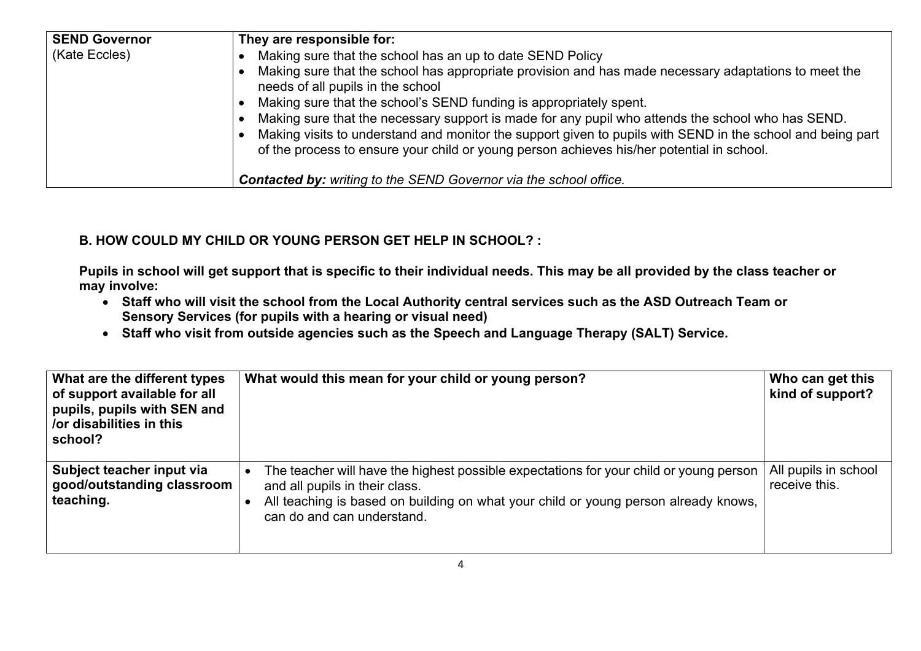| <b>SEND Governor</b> | They are responsible for:                                                                                                                                                                                                                                                                                    |  |
|----------------------|--------------------------------------------------------------------------------------------------------------------------------------------------------------------------------------------------------------------------------------------------------------------------------------------------------------|--|
| (Kate Eccles)        | Making sure that the school has an up to date SEND Policy                                                                                                                                                                                                                                                    |  |
|                      | Making sure that the school has appropriate provision and has made necessary adaptations to meet the<br>needs of all pupils in the school                                                                                                                                                                    |  |
|                      | Making sure that the school's SEND funding is appropriately spent.                                                                                                                                                                                                                                           |  |
|                      | Making sure that the necessary support is made for any pupil who attends the school who has SEND.<br>Making visits to understand and monitor the support given to pupils with SEND in the school and being part<br>of the process to ensure your child or young person achieves his/her potential in school. |  |
|                      | <b>Contacted by:</b> writing to the SEND Governor via the school office.                                                                                                                                                                                                                                     |  |

## **B. HOW COULD MY CHILD OR YOUNG PERSON GET HELP IN SCHOOL? :**

**Pupils in school will get support that is specific to their individual needs. This may be all provided by the class teacher or may involve:** 

- **Staff who will visit the school from the Local Authority central services such as the ASD Outreach Team or Sensory Services (for pupils with a hearing or visual need)**
- **Staff who visit from outside agencies such as the Speech and Language Therapy (SALT) Service.**

| What are the different types<br>of support available for all<br>pupils, pupils with SEN and<br>/or disabilities in this<br>school? | What would this mean for your child or young person?                                                                                                                                                                                          | Who can get this<br>kind of support?  |
|------------------------------------------------------------------------------------------------------------------------------------|-----------------------------------------------------------------------------------------------------------------------------------------------------------------------------------------------------------------------------------------------|---------------------------------------|
| Subject teacher input via<br>good/outstanding classroom<br>teaching.                                                               | The teacher will have the highest possible expectations for your child or young person<br>and all pupils in their class.<br>All teaching is based on building on what your child or young person already knows,<br>can do and can understand. | All pupils in school<br>receive this. |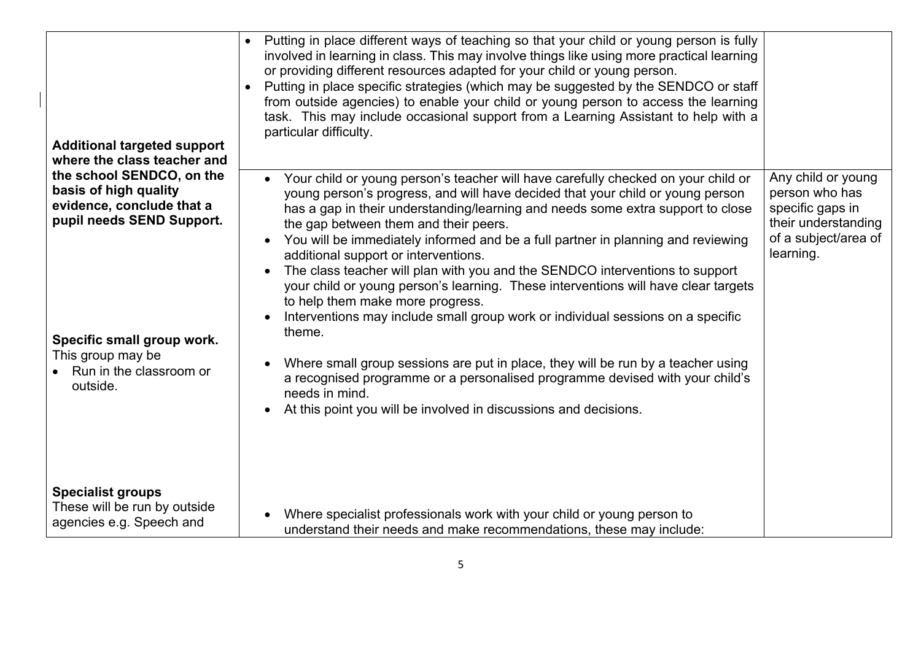| <b>Additional targeted support</b><br>where the class teacher and                                                                                                                                        | • Putting in place different ways of teaching so that your child or young person is fully<br>involved in learning in class. This may involve things like using more practical learning<br>or providing different resources adapted for your child or young person.<br>• Putting in place specific strategies (which may be suggested by the SENDCO or staff<br>from outside agencies) to enable your child or young person to access the learning<br>task. This may include occasional support from a Learning Assistant to help with a<br>particular difficulty.                                                                                                                                                                                                                                                                                                                                                                                  |                                                                                                                      |
|----------------------------------------------------------------------------------------------------------------------------------------------------------------------------------------------------------|----------------------------------------------------------------------------------------------------------------------------------------------------------------------------------------------------------------------------------------------------------------------------------------------------------------------------------------------------------------------------------------------------------------------------------------------------------------------------------------------------------------------------------------------------------------------------------------------------------------------------------------------------------------------------------------------------------------------------------------------------------------------------------------------------------------------------------------------------------------------------------------------------------------------------------------------------|----------------------------------------------------------------------------------------------------------------------|
| the school SENDCO, on the<br>basis of high quality<br>evidence, conclude that a<br>pupil needs SEND Support.<br>Specific small group work.<br>This group may be<br>• Run in the classroom or<br>outside. | Your child or young person's teacher will have carefully checked on your child or<br>$\bullet$<br>young person's progress, and will have decided that your child or young person<br>has a gap in their understanding/learning and needs some extra support to close<br>the gap between them and their peers.<br>You will be immediately informed and be a full partner in planning and reviewing<br>additional support or interventions.<br>The class teacher will plan with you and the SENDCO interventions to support<br>your child or young person's learning. These interventions will have clear targets<br>to help them make more progress.<br>Interventions may include small group work or individual sessions on a specific<br>theme.<br>Where small group sessions are put in place, they will be run by a teacher using<br>$\bullet$<br>a recognised programme or a personalised programme devised with your child's<br>needs in mind. | Any child or young<br>person who has<br>specific gaps in<br>their understanding<br>of a subject/area of<br>learning. |
| <b>Specialist groups</b><br>These will be run by outside<br>agencies e.g. Speech and                                                                                                                     | At this point you will be involved in discussions and decisions.<br>$\bullet$<br>Where specialist professionals work with your child or young person to<br>understand their needs and make recommendations, these may include:                                                                                                                                                                                                                                                                                                                                                                                                                                                                                                                                                                                                                                                                                                                     |                                                                                                                      |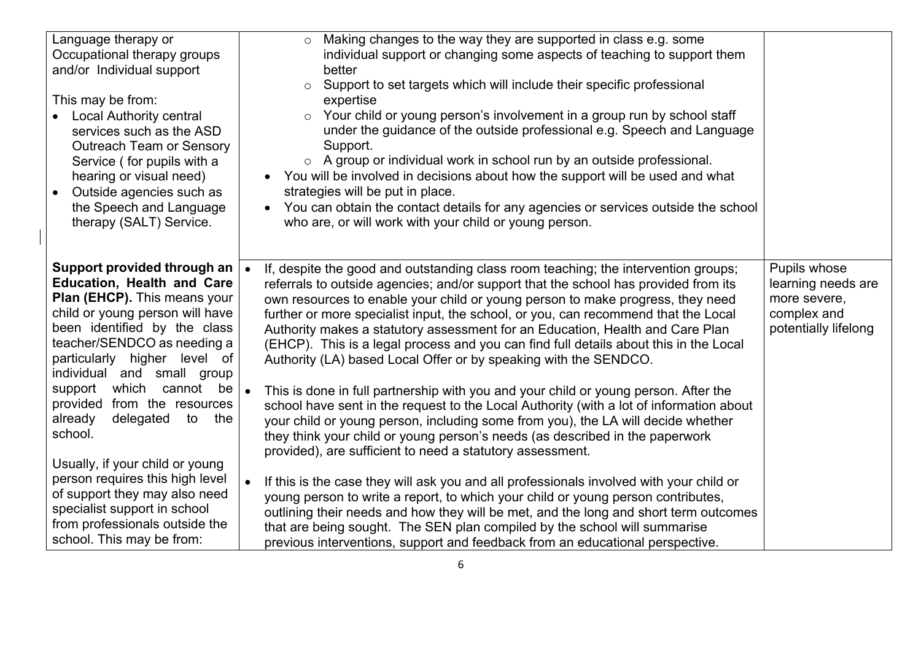| Language therapy or<br>Occupational therapy groups<br>and/or Individual support<br>This may be from:<br><b>Local Authority central</b><br>services such as the ASD<br><b>Outreach Team or Sensory</b><br>Service (for pupils with a<br>hearing or visual need)<br>Outside agencies such as<br>$\bullet$<br>the Speech and Language<br>therapy (SALT) Service.                                                                                                                                                                                                                                                                                                                                                                                                                                                                                                                                                                                                                                                                                                                                                                                                                                                                                                                                                                                                                                                                                                                                                                                                                                                                                                                                                                                                                                                                                                                                                                                                                                                                                                                                                                               | Making changes to the way they are supported in class e.g. some<br>$\circ$<br>individual support or changing some aspects of teaching to support them<br>better<br>Support to set targets which will include their specific professional<br>$\circ$<br>expertise<br>Your child or young person's involvement in a group run by school staff<br>$\circ$<br>under the guidance of the outside professional e.g. Speech and Language<br>Support.<br>o A group or individual work in school run by an outside professional.<br>You will be involved in decisions about how the support will be used and what<br>strategies will be put in place.<br>You can obtain the contact details for any agencies or services outside the school<br>who are, or will work with your child or young person. |
|---------------------------------------------------------------------------------------------------------------------------------------------------------------------------------------------------------------------------------------------------------------------------------------------------------------------------------------------------------------------------------------------------------------------------------------------------------------------------------------------------------------------------------------------------------------------------------------------------------------------------------------------------------------------------------------------------------------------------------------------------------------------------------------------------------------------------------------------------------------------------------------------------------------------------------------------------------------------------------------------------------------------------------------------------------------------------------------------------------------------------------------------------------------------------------------------------------------------------------------------------------------------------------------------------------------------------------------------------------------------------------------------------------------------------------------------------------------------------------------------------------------------------------------------------------------------------------------------------------------------------------------------------------------------------------------------------------------------------------------------------------------------------------------------------------------------------------------------------------------------------------------------------------------------------------------------------------------------------------------------------------------------------------------------------------------------------------------------------------------------------------------------|----------------------------------------------------------------------------------------------------------------------------------------------------------------------------------------------------------------------------------------------------------------------------------------------------------------------------------------------------------------------------------------------------------------------------------------------------------------------------------------------------------------------------------------------------------------------------------------------------------------------------------------------------------------------------------------------------------------------------------------------------------------------------------------------|
| Support provided through an<br>Pupils whose<br>If, despite the good and outstanding class room teaching; the intervention groups;<br><b>Education, Health and Care</b><br>referrals to outside agencies; and/or support that the school has provided from its<br>learning needs are<br>Plan (EHCP). This means your<br>own resources to enable your child or young person to make progress, they need<br>more severe,<br>child or young person will have<br>complex and<br>further or more specialist input, the school, or you, can recommend that the Local<br>been identified by the class<br>potentially lifelong<br>Authority makes a statutory assessment for an Education, Health and Care Plan<br>teacher/SENDCO as needing a<br>(EHCP). This is a legal process and you can find full details about this in the Local<br>particularly higher level of<br>Authority (LA) based Local Offer or by speaking with the SENDCO.<br>individual and small group<br>which cannot be<br>support<br>This is done in full partnership with you and your child or young person. After the<br>provided from the resources<br>school have sent in the request to the Local Authority (with a lot of information about<br>delegated<br>already<br>to<br>the<br>your child or young person, including some from you), the LA will decide whether<br>school.<br>they think your child or young person's needs (as described in the paperwork<br>provided), are sufficient to need a statutory assessment.<br>Usually, if your child or young<br>person requires this high level<br>If this is the case they will ask you and all professionals involved with your child or<br>of support they may also need<br>young person to write a report, to which your child or young person contributes,<br>specialist support in school<br>outlining their needs and how they will be met, and the long and short term outcomes<br>from professionals outside the<br>that are being sought. The SEN plan compiled by the school will summarise<br>school. This may be from:<br>previous interventions, support and feedback from an educational perspective. |                                                                                                                                                                                                                                                                                                                                                                                                                                                                                                                                                                                                                                                                                                                                                                                              |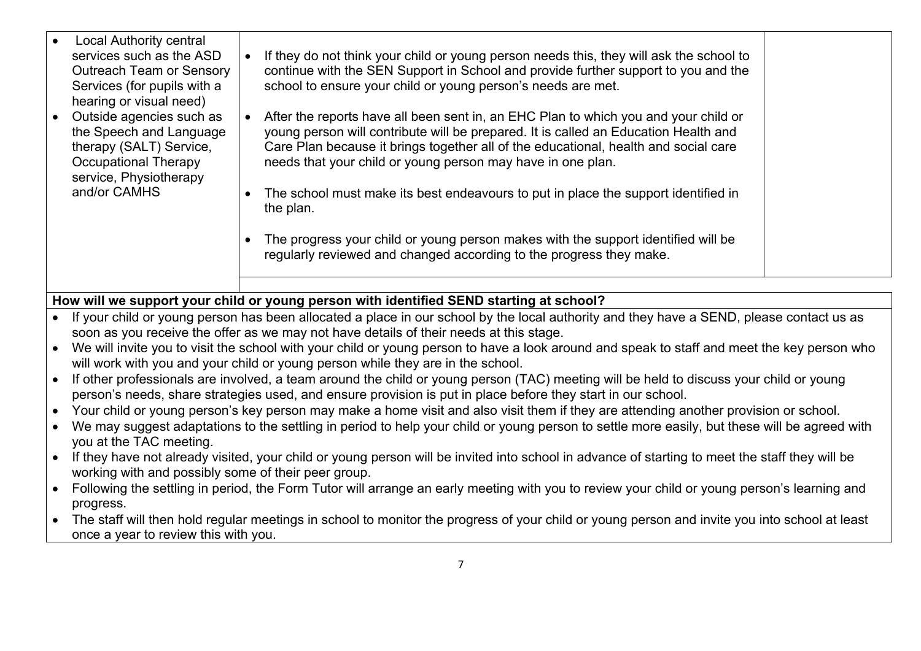| <b>Local Authority central</b><br>services such as the ASD<br>If they do not think your child or young person needs this, they will ask the school to<br>continue with the SEN Support in School and provide further support to you and the<br><b>Outreach Team or Sensory</b><br>school to ensure your child or young person's needs are met.<br>Services (for pupils with a<br>hearing or visual need)<br>Outside agencies such as<br>After the reports have all been sent in, an EHC Plan to which you and your child or<br>the Speech and Language<br>young person will contribute will be prepared. It is called an Education Health and<br>Care Plan because it brings together all of the educational, health and social care<br>therapy (SALT) Service,<br>needs that your child or young person may have in one plan.<br>Occupational Therapy<br>service, Physiotherapy<br>and/or CAMHS<br>The school must make its best endeavours to put in place the support identified in<br>the plan.<br>The progress your child or young person makes with the support identified will be<br>regularly reviewed and changed according to the progress they make. |  |  |
|-----------------------------------------------------------------------------------------------------------------------------------------------------------------------------------------------------------------------------------------------------------------------------------------------------------------------------------------------------------------------------------------------------------------------------------------------------------------------------------------------------------------------------------------------------------------------------------------------------------------------------------------------------------------------------------------------------------------------------------------------------------------------------------------------------------------------------------------------------------------------------------------------------------------------------------------------------------------------------------------------------------------------------------------------------------------------------------------------------------------------------------------------------------------|--|--|
|                                                                                                                                                                                                                                                                                                                                                                                                                                                                                                                                                                                                                                                                                                                                                                                                                                                                                                                                                                                                                                                                                                                                                                 |  |  |
|                                                                                                                                                                                                                                                                                                                                                                                                                                                                                                                                                                                                                                                                                                                                                                                                                                                                                                                                                                                                                                                                                                                                                                 |  |  |

# **How will we support your child or young person with identified SEND starting at school?**

- If your child or young person has been allocated a place in our school by the local authority and they have a SEND, please contact us as soon as you receive the offer as we may not have details of their needs at this stage.
- We will invite you to visit the school with your child or young person to have a look around and speak to staff and meet the key person who will work with you and your child or young person while they are in the school.
- If other professionals are involved, a team around the child or young person (TAC) meeting will be held to discuss your child or young person's needs, share strategies used, and ensure provision is put in place before they start in our school.
- Your child or young person's key person may make a home visit and also visit them if they are attending another provision or school.
- We may suggest adaptations to the settling in period to help your child or young person to settle more easily, but these will be agreed with you at the TAC meeting.
- If they have not already visited, your child or young person will be invited into school in advance of starting to meet the staff they will be working with and possibly some of their peer group.
- Following the settling in period, the Form Tutor will arrange an early meeting with you to review your child or young person's learning and progress.
- The staff will then hold regular meetings in school to monitor the progress of your child or young person and invite you into school at least once a year to review this with you.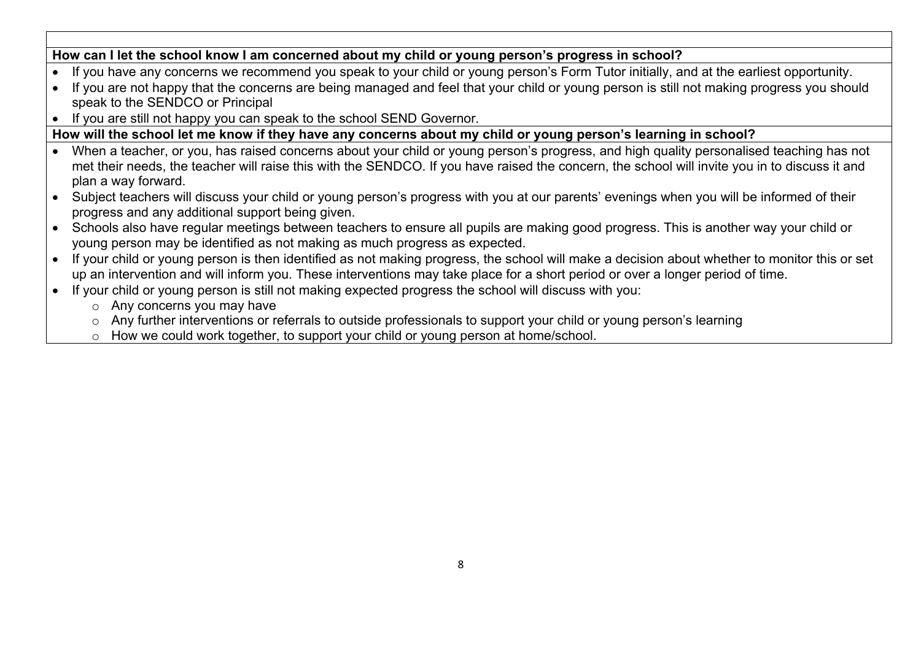# **How can I let the school know I am concerned about my child or young person's progress in school?**

- If you have any concerns we recommend you speak to your child or young person's Form Tutor initially, and at the earliest opportunity.
- If you are not happy that the concerns are being managed and feel that your child or young person is still not making progress you should speak to the SENDCO or Principal
- If you are still not happy you can speak to the school SEND Governor.

#### **How will the school let me know if they have any concerns about my child or young person's learning in school?**

- When a teacher, or you, has raised concerns about your child or young person's progress, and high quality personalised teaching has not met their needs, the teacher will raise this with the SENDCO. If you have raised the concern, the school will invite you in to discuss it and plan a way forward.
- Subject teachers will discuss your child or young person's progress with you at our parents' evenings when you will be informed of their progress and any additional support being given.
- Schools also have regular meetings between teachers to ensure all pupils are making good progress. This is another way your child or young person may be identified as not making as much progress as expected.
- If your child or young person is then identified as not making progress, the school will make a decision about whether to monitor this or set up an intervention and will inform you. These interventions may take place for a short period or over a longer period of time.
- If your child or young person is still not making expected progress the school will discuss with you:
	- o Any concerns you may have
	- o Any further interventions or referrals to outside professionals to support your child or young person's learning
	- o How we could work together, to support your child or young person at home/school.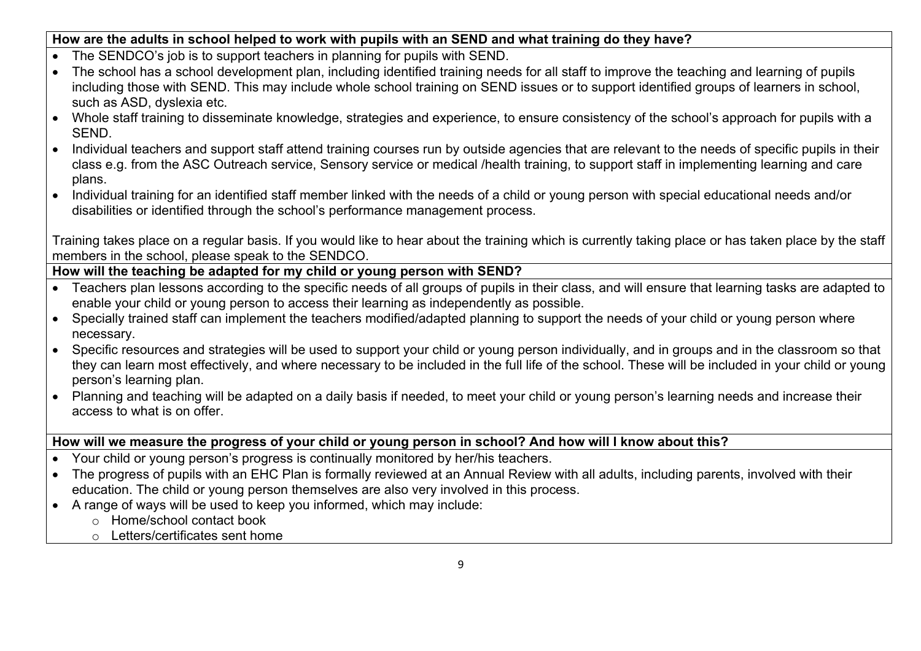#### **How are the adults in school helped to work with pupils with an SEND and what training do they have?**

- The SENDCO's job is to support teachers in planning for pupils with SEND.
- The school has a school development plan, including identified training needs for all staff to improve the teaching and learning of pupils including those with SEND. This may include whole school training on SEND issues or to support identified groups of learners in school, such as ASD, dyslexia etc.
- Whole staff training to disseminate knowledge, strategies and experience, to ensure consistency of the school's approach for pupils with a SEND.
- Individual teachers and support staff attend training courses run by outside agencies that are relevant to the needs of specific pupils in their class e.g. from the ASC Outreach service, Sensory service or medical /health training, to support staff in implementing learning and care plans.
- Individual training for an identified staff member linked with the needs of a child or young person with special educational needs and/or disabilities or identified through the school's performance management process.

Training takes place on a regular basis. If you would like to hear about the training which is currently taking place or has taken place by the staff members in the school, please speak to the SENDCO.

## **How will the teaching be adapted for my child or young person with SEND?**

- Teachers plan lessons according to the specific needs of all groups of pupils in their class, and will ensure that learning tasks are adapted to enable your child or young person to access their learning as independently as possible.
- Specially trained staff can implement the teachers modified/adapted planning to support the needs of your child or young person where necessary.
- Specific resources and strategies will be used to support your child or young person individually, and in groups and in the classroom so that they can learn most effectively, and where necessary to be included in the full life of the school. These will be included in your child or young person's learning plan.
- Planning and teaching will be adapted on a daily basis if needed, to meet your child or young person's learning needs and increase their access to what is on offer.

#### **How will we measure the progress of your child or young person in school? And how will I know about this?**

- Your child or young person's progress is continually monitored by her/his teachers.
- The progress of pupils with an EHC Plan is formally reviewed at an Annual Review with all adults, including parents, involved with their education. The child or young person themselves are also very involved in this process.
- A range of ways will be used to keep you informed, which may include:
	- o Home/school contact book
	- o Letters/certificates sent home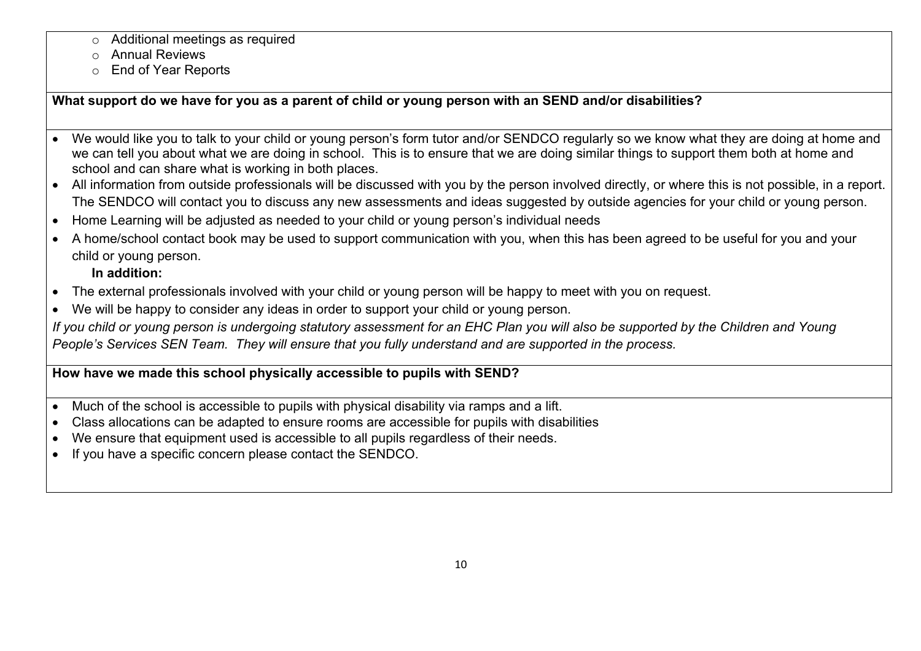- o Additional meetings as required
- o Annual Reviews
- o End of Year Reports

**What support do we have for you as a parent of child or young person with an SEND and/or disabilities?**

- We would like you to talk to your child or young person's form tutor and/or SENDCO regularly so we know what they are doing at home and we can tell you about what we are doing in school. This is to ensure that we are doing similar things to support them both at home and school and can share what is working in both places.
- All information from outside professionals will be discussed with you by the person involved directly, or where this is not possible, in a report. The SENDCO will contact you to discuss any new assessments and ideas suggested by outside agencies for your child or young person.
- Home Learning will be adjusted as needed to your child or young person's individual needs
- A home/school contact book may be used to support communication with you, when this has been agreed to be useful for you and your child or young person.

## **In addition:**

- The external professionals involved with your child or young person will be happy to meet with you on request.
- We will be happy to consider any ideas in order to support your child or young person.

*If you child or young person is undergoing statutory assessment for an EHC Plan you will also be supported by the Children and Young People's Services SEN Team. They will ensure that you fully understand and are supported in the process.*

## **How have we made this school physically accessible to pupils with SEND?**

- Much of the school is accessible to pupils with physical disability via ramps and a lift.
- Class allocations can be adapted to ensure rooms are accessible for pupils with disabilities
- We ensure that equipment used is accessible to all pupils regardless of their needs.
- If you have a specific concern please contact the SENDCO.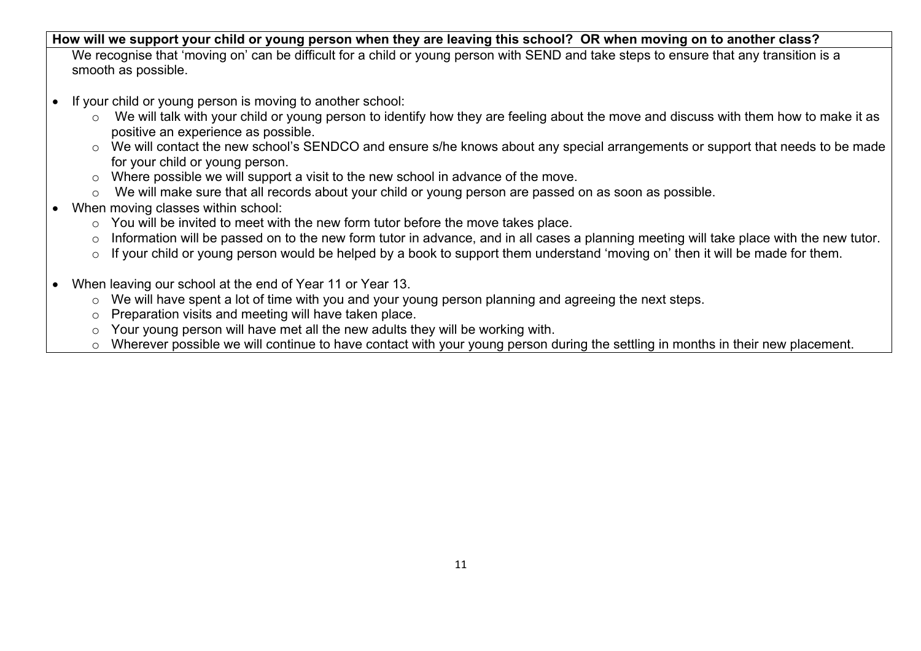#### **How will we support your child or young person when they are leaving this school? OR when moving on to another class?**

We recognise that 'moving on' can be difficult for a child or young person with SEND and take steps to ensure that any transition is a smooth as possible.

- If your child or young person is moving to another school:
	- o We will talk with your child or young person to identify how they are feeling about the move and discuss with them how to make it as positive an experience as possible.
	- o We will contact the new school's SENDCO and ensure s/he knows about any special arrangements or support that needs to be made for your child or young person.
	- o Where possible we will support a visit to the new school in advance of the move.
	- o We will make sure that all records about your child or young person are passed on as soon as possible.
- When moving classes within school:
	- o You will be invited to meet with the new form tutor before the move takes place.
	- o Information will be passed on to the new form tutor in advance, and in all cases a planning meeting will take place with the new tutor.
	- o If your child or young person would be helped by a book to support them understand 'moving on' then it will be made for them.
- When leaving our school at the end of Year 11 or Year 13.
	- o We will have spent a lot of time with you and your young person planning and agreeing the next steps.
	- o Preparation visits and meeting will have taken place.
	- o Your young person will have met all the new adults they will be working with.
	- o Wherever possible we will continue to have contact with your young person during the settling in months in their new placement.